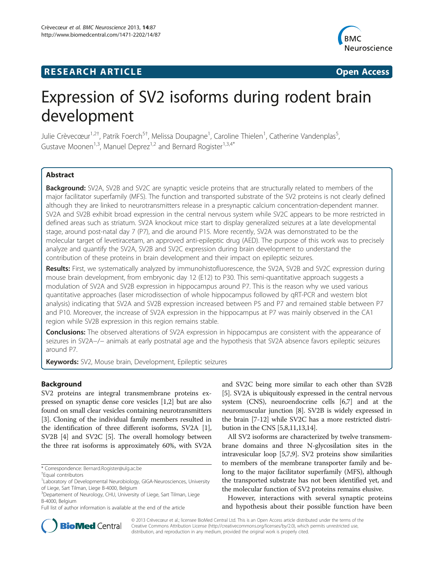# **RESEARCH ARTICLE Example 2014 12:30 The SEAR CHIPS 2014 12:30 The Open Access**



# Expression of SV2 isoforms during rodent brain development

Julie Crèvecœur<sup>1,2†</sup>, Patrik Foerch<sup>5†</sup>, Melissa Doupagne<sup>1</sup>, Caroline Thielen<sup>1</sup>, Catherine Vandenplas<sup>5</sup> , Gustave Moonen<sup>1,3</sup>, Manuel Deprez<sup>1,2</sup> and Bernard Rogister<sup>1,3,4\*</sup>

# Abstract

Background: SV2A, SV2B and SV2C are synaptic vesicle proteins that are structurally related to members of the major facilitator superfamily (MFS). The function and transported substrate of the SV2 proteins is not clearly defined although they are linked to neurotransmitters release in a presynaptic calcium concentration-dependent manner. SV2A and SV2B exhibit broad expression in the central nervous system while SV2C appears to be more restricted in defined areas such as striatum. SV2A knockout mice start to display generalized seizures at a late developmental stage, around post-natal day 7 (P7), and die around P15. More recently, SV2A was demonstrated to be the molecular target of levetiracetam, an approved anti-epileptic drug (AED). The purpose of this work was to precisely analyze and quantify the SV2A, SV2B and SV2C expression during brain development to understand the contribution of these proteins in brain development and their impact on epileptic seizures.

Results: First, we systematically analyzed by immunohistofluorescence, the SV2A, SV2B and SV2C expression during mouse brain development, from embryonic day 12 (E12) to P30. This semi-quantitative approach suggests a modulation of SV2A and SV2B expression in hippocampus around P7. This is the reason why we used various quantitative approaches (laser microdissection of whole hippocampus followed by qRT-PCR and western blot analysis) indicating that SV2A and SV2B expression increased between P5 and P7 and remained stable between P7 and P10. Moreover, the increase of SV2A expression in the hippocampus at P7 was mainly observed in the CA1 region while SV2B expression in this region remains stable.

**Conclusions:** The observed alterations of SV2A expression in hippocampus are consistent with the appearance of seizures in SV2A−/− animals at early postnatal age and the hypothesis that SV2A absence favors epileptic seizures around P7.

Keywords: SV2, Mouse brain, Development, Epileptic seizures

# Background

SV2 proteins are integral transmembrane proteins expressed on synaptic dense core vesicles [[1,2\]](#page-8-0) but are also found on small clear vesicles containing neurotransmitters [[3\]](#page-9-0). Cloning of the individual family members resulted in the identification of three different isoforms, SV2A [[1](#page-8-0)], SV2B [\[4](#page-9-0)] and SV2C [[5\]](#page-9-0). The overall homology between the three rat isoforms is approximately 60%, with SV2A

and SV2C being more similar to each other than SV2B [[5\]](#page-9-0). SV2A is ubiquitously expressed in the central nervous system (CNS), neuroendocrine cells [\[6,7\]](#page-9-0) and at the neuromuscular junction [\[8\]](#page-9-0). SV2B is widely expressed in the brain [\[7](#page-9-0)-[12](#page-9-0)] while SV2C has a more restricted distribution in the CNS [[5,8,11,13,14](#page-9-0)].

All SV2 isoforms are characterized by twelve transmembrane domains and three N-glycosilation sites in the intravesicular loop [[5,7,9](#page-9-0)]. SV2 proteins show similarities to members of the membrane transporter family and belong to the major facilitator superfamily (MFS), although the transported substrate has not been identified yet, and the molecular function of SV2 proteins remains elusive.

However, interactions with several synaptic proteins and hypothesis about their possible function have been



© 2013 Crèvecœur et al.; licensee BioMed Central Ltd. This is an Open Access article distributed under the terms of the Creative Commons Attribution License (http://creativecommons.org/licenses/by/2.0), which permits unrestricted use, distribution, and reproduction in any medium, provided the original work is properly cited.

<sup>\*</sup> Correspondence: [Bernard.Rogister@ulg.ac.be](mailto:Bernard.Rogister@ulg.ac.be) †

Equal contributors

<sup>&</sup>lt;sup>1</sup> Laboratory of Developmental Neurobiology, GIGA-Neurosciences, University of Liege, Sart Tilman, Liege B-4000, Belgium

<sup>&</sup>lt;sup>3</sup>Departement of Neurology, CHU, University of Liege, Sart Tilman, Liege B-4000, Belgium

Full list of author information is available at the end of the article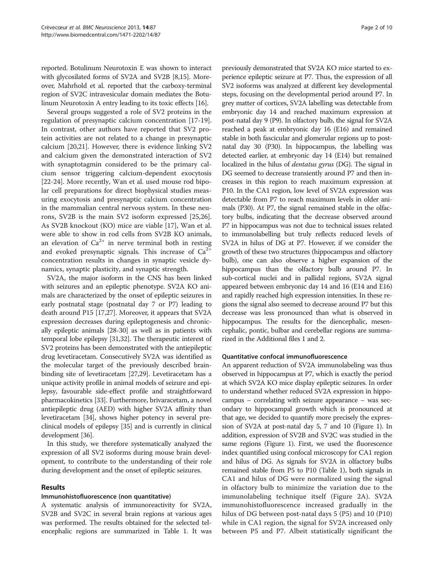<span id="page-1-0"></span>reported. Botulinum Neurotoxin E was shown to interact with glycosilated forms of SV2A and SV2B [[8,15](#page-9-0)]. Moreover, Mahrhold et al. reported that the carboxy-terminal region of SV2C intravesicular domain mediates the Botulinum Neurotoxin A entry leading to its toxic effects [\[16](#page-9-0)].

Several groups suggested a role of SV2 proteins in the regulation of presynaptic calcium concentration [\[17-19](#page-9-0)]. In contrast, other authors have reported that SV2 protein activities are not related to a change in presynaptic calcium [\[20,21](#page-9-0)]. However, there is evidence linking SV2 and calcium given the demonstrated interaction of SV2 with synaptotagmin considered to be the primary calcium sensor triggering calcium-dependent exocytosis [[22-24](#page-9-0)]. More recently, Wan et al. used mouse rod bipolar cell preparations for direct biophysical studies measuring exocytosis and presynaptic calcium concentration in the mammalian central nervous system. In these neurons, SV2B is the main SV2 isoform expressed [\[25,26](#page-9-0)]. As SV2B knockout (KO) mice are viable [[17](#page-9-0)], Wan et al. were able to show in rod cells from SV2B KO animals, an elevation of  $Ca^{2+}$  in nerve terminal both in resting and evoked presynaptic signals. This increase of  $Ca^{2+}$ concentration results in changes in synaptic vesicle dynamics, synaptic plasticity, and synaptic strength.

SV2A, the major isoform in the CNS has been linked with seizures and an epileptic phenotype. SV2A KO animals are characterized by the onset of epileptic seizures in early postnatal stage (postnatal day 7 or P7) leading to death around P15 [\[17,27](#page-9-0)]. Moreover, it appears that SV2A expression decreases during epileptogenesis and chronically epileptic animals [\[28-30\]](#page-9-0) as well as in patients with temporal lobe epilepsy [\[31,32\]](#page-9-0). The therapeutic interest of SV2 proteins has been demonstrated with the antiepileptic drug levetiracetam. Consecutively SV2A was identified as the molecular target of the previously described brainbinding site of levetiracetam [\[27,29\]](#page-9-0). Levetiracetam has a unique activity profile in animal models of seizure and epilepsy, favourable side-effect profile and straightforward pharmacokinetics [[33](#page-9-0)]. Furthermore, brivaracetam, a novel antiepileptic drug (AED) with higher SV2A affinity than levetiracetam [\[34\]](#page-9-0), shows higher potency in several preclinical models of epilepsy [[35](#page-9-0)] and is currently in clinical development [\[36\]](#page-9-0).

In this study, we therefore systematically analyzed the expression of all SV2 isoforms during mouse brain development, to contribute to the understanding of their role during development and the onset of epileptic seizures.

# Results

# Immunohistofluorescence (non quantitative)

A systematic analysis of immunoreactivity for SV2A, SV2B and SV2C in several brain regions at various ages was performed. The results obtained for the selected telencephalic regions are summarized in Table [1](#page-2-0). It was

previously demonstrated that SV2A KO mice started to experience epileptic seizure at P7. Thus, the expression of all SV2 isoforms was analyzed at different key developmental steps, focusing on the developmental period around P7. In grey matter of cortices, SV2A labelling was detectable from embryonic day 14 and reached maximum expression at post-natal day 9 (P9). In olfactory bulb, the signal for SV2A reached a peak at embryonic day 16 (E16) and remained stable in both fascicular and glomerular regions up to postnatal day 30 (P30). In hippocampus, the labelling was detected earlier, at embryonic day 14 (E14) but remained localized in the hilus of *dentatus gyrus* (DG). The signal in DG seemed to decrease transiently around P7 and then increases in this region to reach maximum expression at P10. In the CA1 region, low level of SV2A expression was detectable from P7 to reach maximum levels in older animals (P30). At P7, the signal remained stable in the olfactory bulbs, indicating that the decrease observed around P7 in hippocampus was not due to technical issues related to immunolabelling but truly reflects reduced levels of SV2A in hilus of DG at P7. However, if we consider the growth of these two structures (hippocampus and olfactory bulb), one can also observe a higher expansion of the hippocampus than the olfactory bulb around P7. In sub-cortical nuclei and in pallidal regions, SV2A signal appeared between embryonic day 14 and 16 (E14 and E16) and rapidly reached high expression intensities. In these regions the signal also seemed to decrease around P7 but this decrease was less pronounced than what is observed in hippocampus. The results for the diencephalic, mesencephalic, pontic, bulbar and cerebellar regions are summarized in the Additional files [1](#page-8-0) and [2.](#page-8-0)

#### Quantitative confocal immunofluorescence

An apparent reduction of SV2A immunolabeling was thus observed in hippocampus at P7, which is exactly the period at which SV2A KO mice display epileptic seizures. In order to understand whether reduced SV2A expression in hippocampus – correlating with seizure appearance – was secondary to hippocampal growth which is pronounced at that age, we decided to quantify more precisely the expression of SV2A at post-natal day 5, 7 and 10 (Figure [1](#page-4-0)). In addition, expression of SV2B and SV2C was studied in the same regions (Figure [1](#page-4-0)). First, we used the fluorescence index quantified using confocal microscopy for CA1 region and hilus of DG. As signals for SV2A in olfactory bulbs remained stable from P5 to P10 (Table [1\)](#page-2-0), both signals in CA1 and hilus of DG were normalized using the signal in olfactory bulb to minimize the variation due to the immunolabeling technique itself (Figure [2](#page-5-0)A). SV2A immunohistofluorescence increased gradually in the hilus of DG between post-natal days 5 (P5) and 10 (P10) while in CA1 region, the signal for SV2A increased only between P5 and P7. Albeit statistically significant the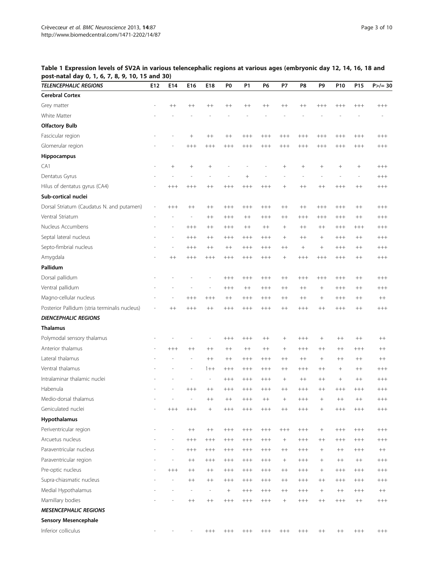| <b>TELENCEPHALIC REGIONS</b>                  | E12                      | E14                      | E16                      | E18                      | P <sub>0</sub>   | <b>P1</b> | P <sub>6</sub> | <b>P7</b>       | P8              | P <sub>9</sub>           | P10             | P <sub>15</sub> | $P$ >/= 30 |
|-----------------------------------------------|--------------------------|--------------------------|--------------------------|--------------------------|------------------|-----------|----------------|-----------------|-----------------|--------------------------|-----------------|-----------------|------------|
| <b>Cerebral Cortex</b>                        |                          |                          |                          |                          |                  |           |                |                 |                 |                          |                 |                 |            |
| Grey matter                                   |                          | $^{++}$                  | $++$                     | $^{++}$                  | $^{++}$          | $++$      | $++$           | $^{++}$         | $++$            | $+++$                    | $++++$          | $++++$          | $++++$     |
| White Matter                                  |                          |                          |                          |                          |                  |           |                |                 |                 |                          |                 |                 |            |
| <b>Olfactory Bulb</b>                         |                          |                          |                          |                          |                  |           |                |                 |                 |                          |                 |                 |            |
| Fascicular region                             |                          |                          | $\! + \!\!\!\!$          | $^{++}$                  | $^{++}$          | $++++$    | $^{+++}$       | $+++$           | $^{+++}$        | $^{+++}$                 | $+++$           | $++++$          | $++++$     |
| Glomerular region                             |                          |                          | $^{+++}$                 | $++++$                   | $++++$           | $++++$    | $^{+++}$       | $++++$          | $++++$          | $++++$                   | $++++$          | $++++$          | $++++$     |
| Hippocampus                                   |                          |                          |                          |                          |                  |           |                |                 |                 |                          |                 |                 |            |
| CA1                                           | $\overline{\phantom{a}}$ | $^{+}$                   |                          | $^{+}$                   |                  |           |                | $\! + \!\!\!\!$ | $\! + \!\!\!\!$ | $^{+}$                   |                 |                 | $++++$     |
| Dentatus Gyrus                                |                          | L,                       | $\overline{a}$           | ÷,                       |                  |           |                |                 | $\overline{a}$  | $\overline{\phantom{a}}$ | ÷,              | ÷,              | $^{+++}$   |
| Hilus of dentatus gyrus (CA4)                 |                          | $+++$                    | $^{+++}$                 | $^{++}$                  | $+++$            | $++++$    | $^{+++}$       | $+$             | $++$            | $++$                     | $+++$           | $++$            | $++++$     |
| Sub-cortical nuclei                           |                          |                          |                          |                          |                  |           |                |                 |                 |                          |                 |                 |            |
| Dorsal Striatum (Caudatus N. and putamen)     | $\overline{\phantom{a}}$ | $++++$                   | $^{++}$                  | $^{++}$                  | $++++$           | $++++$    | $^{+++}$       | $^{++}$         | $^{++}$         | $++++$                   | $+++$           | $^{++}$         | $^{+++}$   |
| Ventral Striatum                              | ÷,                       | L,                       | $\overline{\phantom{m}}$ | $^{++}$                  | $++++$           | $++$      | $^{+++}$       | $^{++}$         | $++++$          | $++++$                   | $^{+++}$        | $^{++}$         | $^{+++}$   |
| Nucleus Accumbens                             |                          | L,                       | $++++$                   | $^{++}$                  | $^{+++}$         | $++$      | $^{++}$        | $^{+}$          | $^{++}$         | $^{++}$                  | $^{+++}$        | $++++$          | $^{+++}$   |
| Septal lateral nucleus                        |                          | $\overline{a}$           | $+++$                    | $++$                     | $+++$            | $+++$     | $+++$          | $\! + \!\!\!\!$ | $++$            | $+$                      | $+++$           | $++$            | $+++$      |
| Septo-fimbrial nucleus                        |                          | $\overline{a}$           | $^{+++}$                 | $^{++}$                  | $^{++}$          | $^{+++}$  | $^{+++}$       | $^{++}$         | $\! + \!\!\!\!$ | $^{+}$                   | $^{+++}$        | $^{++}$         | $^{+++}$   |
| Amygdala                                      |                          | $^{++}$                  | $++++$                   | $++++$                   | $++++$           | $++++$    | $^{+++}$       | $^{+}$          | $++++$          | $++++$                   | $^{+++}$        | $^{++}$         | $^{+++}$   |
| Pallidum                                      |                          |                          |                          |                          |                  |           |                |                 |                 |                          |                 |                 |            |
| Dorsal pallidum                               |                          |                          |                          |                          | $+++$            | $^{+++}$  | $^{+++}$       | $^{++}$         | $^{+++}$        | $^{+++}$                 | $^{+++}$        | $^{++}$         | $^{+++}$   |
| Ventral pallidum                              |                          |                          |                          |                          | $++++$           | $++$      | $^{+++}$       | $^{++}$         | $++$            | $^{+}$                   | $^{+++}$        | $^{++}$         | $^{+++}$   |
| Magno-cellular nucleus                        | ÷                        | ÷                        | $+++$                    | $+++$                    | $^{++}$          | $++++$    | $^{+++}$       | $^{++}$         | $++$            | $^{+}$                   | $^{+++}$        | $^{++}$         | $^{++}$    |
| Posterior Pallidum (stria terminalis nucleus) | $\overline{\phantom{a}}$ | $++$                     | $++++$                   | $^{++}$                  | $+++$            | $++++$    | $^{+++}$       | $^{++}$         | $^{+++}$        | $^{++}$                  | $^{+++}$        | $^{++}$         | $++++$     |
| <b>DIENCEPHALIC REGIONS</b>                   |                          |                          |                          |                          |                  |           |                |                 |                 |                          |                 |                 |            |
| <b>Thalamus</b>                               |                          |                          |                          |                          |                  |           |                |                 |                 |                          |                 |                 |            |
| Polymodal sensory thalamus                    |                          |                          |                          | $\overline{a}$           | $++++$           | $++++$    | $^{++}$        | $^{+}$          | $++++$          | $^{+}$                   | $^{++}$         | $^{++}$         | $^{++}$    |
| Anterior thalamus                             |                          | $++++$                   | $++$                     | $++$                     | $++$             | $++$      | $++$           | $+$             | $+++$           | $++$                     | $++$            | $+++$           | $++$       |
| Lateral thalamus                              |                          |                          | $\overline{\phantom{m}}$ | $^{++}$                  | $^{++}$          | $^{+++}$  | $^{+++}$       | $^{++}$         | $++$            | $\! + \!\!\!\!$          | $^{++}$         | $+ +$           | $^{++}$    |
| Ventral thalamus                              |                          |                          | $\overline{a}$           | $1 + +$                  | $++++$           | $++++$    | $^{+++}$       | $^{++}$         | $^{+++}$        | $^{++}$                  | $^{+}$          | $^{++}$         | $++++$     |
| Intralaminar thalamic nuclei                  |                          |                          | $\overline{a}$           | $\overline{\phantom{a}}$ | $+++$            | $++++$    | $^{+++}$       | $+$             | $++$            | $^{++}$                  | $\! + \!\!\!\!$ | $^{++}$         | $++++$     |
| Habenula                                      |                          |                          | $^{+++}$                 | $^{++}$                  | $^{+++}$         | $^{+++}$  | $^{+++}$       | $^{++}$         | $^{+++}$        | $^{++}$                  | $^{+++}$        | $^{+++}$        | $^{+++}$   |
| Medio-dorsal thalamus                         |                          |                          | $\overline{\phantom{m}}$ | $^{++}$                  | $^{++}$          | $++++$    | $^{++}$        | $\! +$          | $^{+++}$        | $^{+}$                   | $^{++}$         | $^{++}$         | $^{+++}$   |
| Geniculated nuclei                            |                          | $^{+++}$                 | $^{+++}$                 |                          | $^{+++}$         | $^{+++}$  | $^{+++}$       | $^{++}$         | $^{+++}$        |                          | $^{+++}$        | $^{+++}$        | $^{+++}$   |
| Hypothalamus                                  |                          |                          |                          |                          |                  |           |                |                 |                 |                          |                 |                 |            |
| Periventricular region                        | $\overline{\phantom{a}}$ | $\overline{\phantom{a}}$ | $++$                     | $++$                     | $^{+++}$         | $^{+++}$  | $^{+++}$       | $^{+++}$        | $^{+++}$        | $\! + \!\!\!\!$          | $^{+++}$        | $^{+++}$        | $^{+++}$   |
| Arcuetus nucleus                              |                          | L,                       | $^{+++}$                 | $++++$                   | $^{+++}$         | $^{+++}$  | $^{+++}$       | $+$             | $^{+++}$        | $^{++}$                  | $^{+++}$        | $^{+++}$        | $^{+++}$   |
| Paraventricular nucleus                       |                          | $\overline{a}$           | $^{+++}$                 | $++++$                   | $^{+++}$         | $^{+++}$  | $^{+++}$       | $^{++}$         | $^{+++}$        | $+$                      | $++$            | $++++$          | $++$       |
| Paraventricular region                        | $\overline{a}$           | $\overline{a}$           | $^{++}$                  | $++++$                   | $^{+++}$         | $^{+++}$  | $^{+++}$       | $+$             | $^{+++}$        | $^{+}$                   | $++$            | $++$            | $^{+++}$   |
| Pre-optic nucleus                             | $\overline{\phantom{a}}$ | $++++$                   | $+ +$                    | $++$                     | $^{+++}$         | $^{+++}$  | $^{+++}$       | $++$            | $^{+++}$        | $\boldsymbol{+}$         | $^{+++}$        | $^{+++}$        | $^{+++}$   |
| Supra-chiasmatic nucleus                      | $\overline{a}$           |                          | $++$                     | $++$                     | $^{+++}$         | $^{+++}$  | $^{+++}$       | $++$            | $^{+++}$        | $^{++}$                  | $^{+++}$        | $^{+++}$        | $^{+++}$   |
| Medial Hypothalamus                           |                          |                          | $\overline{\phantom{a}}$ | $\overline{\phantom{a}}$ | $\boldsymbol{+}$ | $^{+++}$  | $^{+++}$       | $^{++}$         | $^{+++}$        | $+$                      | $++$            | $^{+++}$        | $^{++}$    |
| Mamillary bodies                              |                          | $\overline{a}$           | $^{++}$                  | $++$                     | $^{+++}$         | $^{+++}$  | $^{+++}$       | $+$             | $^{+++}$        | $++$                     | $^{+++}$        | $^{++}$         | $^{+++}$   |
| <b>MESENCEPHALIC REGIONS</b>                  |                          |                          |                          |                          |                  |           |                |                 |                 |                          |                 |                 |            |
| <b>Sensory Mesencephale</b>                   |                          |                          |                          |                          |                  |           |                |                 |                 |                          |                 |                 |            |
| Inferior colliculus                           |                          |                          | $\overline{\phantom{m}}$ | $^{+++}$                 | $^{+++}$         | $^{+++}$  | $^{+++}$       | $^{+++}$        | $^{+++}$        | $++$                     | $++$            | $^{+++}$        | $^{+++}$   |

<span id="page-2-0"></span>Table 1 Expression levels of SV2A in various telencephalic regions at various ages (embryonic day 12, 14, 16, 18 and post-natal day 0, 1, 6, 7, 8, 9, 10, 15 and 30)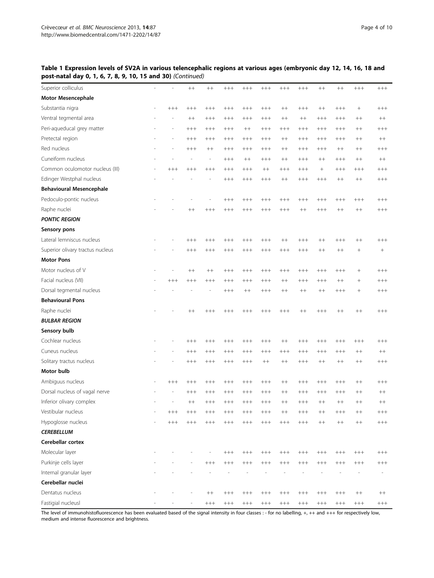# Table 1 Expression levels of SV2A in various telencephalic regions at various ages (embryonic day 12, 14, 16, 18 and post-natal day 0, 1, 6, 7, 8, 9, 10, 15 and 30) (Continued)

| Superior colliculus              | ÷,             |        | $++$                     | $^{++}$                  | $+++$    | $+++$                    | $^{+++}$ | $+++$    | $+++$          | $++$             | $++$     | $++++$   | $++++$   |
|----------------------------------|----------------|--------|--------------------------|--------------------------|----------|--------------------------|----------|----------|----------------|------------------|----------|----------|----------|
| <b>Motor Mesencephale</b>        |                |        |                          |                          |          |                          |          |          |                |                  |          |          |          |
| Substantia nigra                 | ÷              | $++++$ | $++++$                   | $++++$                   | $+++$    | $+++$                    | $^{+++}$ | $^{++}$  | $^{+++}$       | $^{++}$          | $+++$    | $+$      | $++++$   |
| Ventral tegmental area           |                | ÷,     | $++$                     | $+++$                    | $+++$    | $+++$                    | $+++$    | $++$     | $++$           | $^{+++}$         | $+++$    | $++$     | $^{++}$  |
| Peri-aqueducal grey matter       |                |        | $++++$                   | $++++$                   | $++++$   | $++$                     | $^{+++}$ | $++++$   | $^{+++}$       | $^{+++}$         | $^{+++}$ | $^{++}$  | $^{+++}$ |
| Pretectal region                 |                |        | $++++$                   | $++++$                   | $^{+++}$ | $++++$                   | $++++$   | $^{++}$  | $++++$         | $^{+++}$         | $+++$    | $^{++}$  | $^{++}$  |
| Red nucleus                      |                | ÷,     | $+++$                    | $++$                     | $+++$    | $+++$                    | $+++$    | $++$     | $+++$          | $^{+++}$         | $++$     | $++$     | $++++$   |
| Cuneiform nucleus                |                |        | $\overline{\phantom{a}}$ | $\overline{\phantom{0}}$ | $++++$   | $++$                     | $^{+++}$ | $^{++}$  | $^{+++}$       | $^{++}$          | $^{+++}$ | $^{++}$  | $+ +$    |
| Common oculomotor nucleus (III)  |                | $++++$ | $++++$                   | $++++$                   | $++++$   | $++++$                   | $++$     | $++++$   | $++++$         | $\boldsymbol{+}$ | $^{+++}$ | $++++$   | $^{+++}$ |
| Edinger Westphal nucleus         |                |        |                          | $\overline{a}$           | $^{+++}$ | $++++$                   | $^{+++}$ | $^{++}$  | $^{+++}$       | $^{+++}$         | $^{++}$  | $^{++}$  | $++++$   |
| <b>Behavioural Mesencephale</b>  |                |        |                          |                          |          |                          |          |          |                |                  |          |          |          |
| Pedoculo-pontic nucleus          |                |        | $\overline{a}$           | $\overline{\phantom{a}}$ | $^{+++}$ | $^{+++}$                 | $^{+++}$ | $^{+++}$ | $^{+++}$       | $^{+++}$         | $^{+++}$ | $^{+++}$ | $^{+++}$ |
| Raphe nuclei                     |                |        | $++$                     | $++++$                   | $++++$   | $++++$                   | $^{+++}$ | $++++$   | $++$           | $^{+++}$         | $^{++}$  | $++$     | $++++$   |
| <b>PONTIC REGION</b>             |                |        |                          |                          |          |                          |          |          |                |                  |          |          |          |
| Sensory pons                     |                |        |                          |                          |          |                          |          |          |                |                  |          |          |          |
| Lateral lemniscus nucleus        |                |        | $++++$                   | $++++$                   | $++++$   | $++++$                   | $^{+++}$ | $^{++}$  | $^{+++}$       | $^{++}$          | $++++$   | $^{++}$  | $^{+++}$ |
| Superior olivary tractus nucleus |                |        | $+++$                    | $+++$                    | $+++$    | $^{+++}$                 | $^{+++}$ | $+++$    | $+++$          | $++$             | $++$     | $+$      | $\! +$   |
| <b>Motor Pons</b>                |                |        |                          |                          |          |                          |          |          |                |                  |          |          |          |
| Motor nucleus of V               |                | ÷,     | $^{++}$                  | $++$                     | $+++$    | $+++$                    | $+++$    | $+++$    | $+++$          | $+++$            | $+++$    | $+$      | $+++$    |
| Facial nucleus (VII)             |                | $+++$  | $+++$                    | $++++$                   | $++++$   | $++++$                   | $^{+++}$ | $^{++}$  | $^{+++}$       | $++++$           | $^{++}$  | $+$      | $++++$   |
| Dorsal tegmental nucleus         |                |        |                          | $\overline{a}$           | $++++$   | $++$                     | $++++$   | $^{++}$  | $^{++}$        | $^{++}$          | $++++$   |          | $^{+++}$ |
| <b>Behavioural Pons</b>          |                |        |                          |                          |          |                          |          |          |                |                  |          |          |          |
| Raphe nuclei                     |                |        | $++$                     | $+++$                    | $+++$    | $+++$                    | $^{+++}$ | $^{+++}$ | $^{++}$        | $^{+++}$         | $++$     | $++$     | $++++$   |
| <b>BULBAR REGION</b>             |                |        |                          |                          |          |                          |          |          |                |                  |          |          |          |
| Sensory bulb                     |                |        |                          |                          |          |                          |          |          |                |                  |          |          |          |
| Cochlear nucleus                 |                |        | $+++$                    | $+++$                    | $+++$    | $+++$                    | $+++$    | $^{++}$  | $+++$          | $+++$            | $^{+++}$ | $+++$    | $+++$    |
| Cuneus nucleus                   |                |        | $^{+++}$                 | $++++$                   | $+++$    | $++++$                   | $^{+++}$ | $++++$   | $^{+++}$       | $++++$           | $^{+++}$ | $^{++}$  | $+ +$    |
| Solitary tractus nucleus         |                |        | $++++$                   | $++++$                   | $++++$   | $++++$                   | $^{++}$  | $^{++}$  | $++++$         | $++$             | $^{++}$  | $^{++}$  | $^{+++}$ |
| Motor bulb                       |                |        |                          |                          |          |                          |          |          |                |                  |          |          |          |
| Ambiguus nucleus                 |                | $+++$  | $+++$                    | $+++$                    | $+++$    | $+++$                    | $+++$    | $^{++}$  | $+++$          | $+++$            | $+++$    | $++$     | $++++$   |
| Dorsal nucleus of vagal nerve    |                |        | $^{+++}$                 | $^{+++}$                 | $^{+++}$ | $^{+++}$                 | $^{+++}$ | $^{++}$  | $^{+++}$       | $^{+++}$         | $^{+++}$ | $^{++}$  | $^{++}$  |
| Inferior olivary complex         |                |        | $++$                     | $++++$                   | $++++$   | $++++$                   | $^{+++}$ | $^{++}$  | $+++$          | $++$             | $++$     | $^{++}$  | $^{++}$  |
| Vestibular nucleus               |                | $+++$  | $+++$                    | $+++$                    | $+++$    | $+++$                    | $+++$    | $^{++}$  | $^{+++}$       | $^{++}$          | $++++$   | $^{++}$  | $++++$   |
| Hypoglosse nucleus               | $\overline{a}$ | $++++$ | $++++$                   | $++++$                   | $++++$   | $++++$                   | $^{+++}$ | $++++$   | $^{+++}$       | $^{++}$          | $^{++}$  | $^{++}$  | $++++$   |
| <b>CEREBELLUM</b>                |                |        |                          |                          |          |                          |          |          |                |                  |          |          |          |
| Cerebellar cortex                |                |        |                          |                          |          |                          |          |          |                |                  |          |          |          |
| Molecular layer                  |                |        |                          | $\overline{\phantom{a}}$ | $^{+++}$ | $+++$                    | $+++$    | $++++$   | $^{+++}$       | $++++$           | $+++$    | $^{+++}$ | $++++$   |
| Purkinje cells layer             |                |        | $\overline{a}$           | $++++$                   | $++++$   | $++++$                   | $^{+++}$ | $++++$   | $^{+++}$       | $++++$           | $^{+++}$ | $^{+++}$ | $^{+++}$ |
| Internal granular layer          |                |        |                          |                          | L.       | $\overline{\phantom{a}}$ | ÷,       | ÷,       | $\overline{a}$ | $\overline{a}$   | L,       |          |          |
| Cerebellar nuclei                |                |        |                          |                          |          |                          |          |          |                |                  |          |          |          |
| Dentatus nucleus                 | ÷,             | ÷,     | $\overline{a}$           | $++$                     | $^{+++}$ | $^{+++}$                 | $^{+++}$ | $++++$   | $^{+++}$       | $++++$           | $^{+++}$ | $++$     | $^{++}$  |
| Fastigial nucleusl               |                |        |                          | $^{+++}$                 | $^{+++}$ | $^{+++}$                 | $^{+++}$ | $^{+++}$ | $^{+++}$       | $^{+++}$         | $^{+++}$ | $^{+++}$ | $^{+++}$ |

The level of immunohistofluorescence has been evaluated based of the signal intensity in four classes : - for no labelling, +, ++ and +++ for respectively low, medium and intense fluorescence and brightness.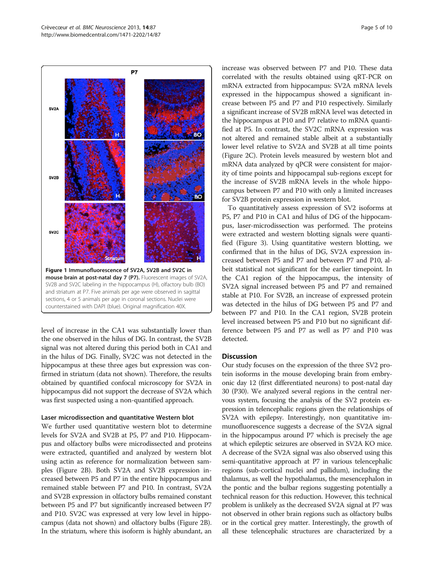<span id="page-4-0"></span>

level of increase in the CA1 was substantially lower than the one observed in the hilus of DG. In contrast, the SV2B signal was not altered during this period both in CA1 and in the hilus of DG. Finally, SV2C was not detected in the hippocampus at these three ages but expression was confirmed in striatum (data not shown). Therefore, the results obtained by quantified confocal microscopy for SV2A in hippocampus did not support the decrease of SV2A which was first suspected using a non-quantified approach.

#### Laser microdissection and quantitative Western blot

We further used quantitative western blot to determine levels for SV2A and SV2B at P5, P7 and P10. Hippocampus and olfactory bulbs were microdissected and proteins were extracted, quantified and analyzed by western blot using actin as reference for normalization between samples (Figure [2B](#page-5-0)). Both SV2A and SV2B expression increased between P5 and P7 in the entire hippocampus and remained stable between P7 and P10. In contrast, SV2A and SV2B expression in olfactory bulbs remained constant between P5 and P7 but significantly increased between P7 and P10. SV2C was expressed at very low level in hippocampus (data not shown) and olfactory bulbs (Figure [2B](#page-5-0)). In the striatum, where this isoform is highly abundant, an increase was observed between P7 and P10. These data correlated with the results obtained using qRT-PCR on mRNA extracted from hippocampus: SV2A mRNA levels expressed in the hippocampus showed a significant increase between P5 and P7 and P10 respectively. Similarly a significant increase of SV2B mRNA level was detected in the hippocampus at P10 and P7 relative to mRNA quantified at P5. In contrast, the SV2C mRNA expression was not altered and remained stable albeit at a substantially lower level relative to SV2A and SV2B at all time points (Figure [2](#page-5-0)C). Protein levels measured by western blot and mRNA data analyzed by qPCR were consistent for majority of time points and hippocampal sub-regions except for the increase of SV2B mRNA levels in the whole hippocampus between P7 and P10 with only a limited increases for SV2B protein expression in western blot.

To quantitatively assess expression of SV2 isoforms at P5, P7 and P10 in CA1 and hilus of DG of the hippocampus, laser-microdissection was performed. The proteins were extracted and western blotting signals were quantified (Figure [3\)](#page-6-0). Using quantitative western blotting, we confirmed that in the hilus of DG, SV2A expression increased between P5 and P7 and between P7 and P10, albeit statistical not significant for the earlier timepoint. In the CA1 region of the hippocampus, the intensity of SV2A signal increased between P5 and P7 and remained stable at P10. For SV2B, an increase of expressed protein was detected in the hilus of DG between P5 and P7 and between P7 and P10. In the CA1 region, SV2B protein level increased between P5 and P10 but no significant difference between P5 and P7 as well as P7 and P10 was detected.

#### **Discussion**

Our study focuses on the expression of the three SV2 protein isoforms in the mouse developing brain from embryonic day 12 (first differentiated neurons) to post-natal day 30 (P30). We analyzed several regions in the central nervous system, focusing the analysis of the SV2 protein expression in telencephalic regions given the relationships of SV2A with epilepsy. Interestingly, non quantitative immunofluorescence suggests a decrease of the SV2A signal in the hippocampus around P7 which is precisely the age at which epileptic seizures are observed in SV2A KO mice. A decrease of the SV2A signal was also observed using this semi-quantitative approach at P7 in various telencephalic regions (sub-cortical nuclei and pallidum), including the thalamus, as well the hypothalamus, the mesencephalon in the pontic and the bulbar regions suggesting potentially a technical reason for this reduction. However, this technical problem is unlikely as the decreased SV2A signal at P7 was not observed in other brain regions such as olfactory bulbs or in the cortical grey matter. Interestingly, the growth of all these telencephalic structures are characterized by a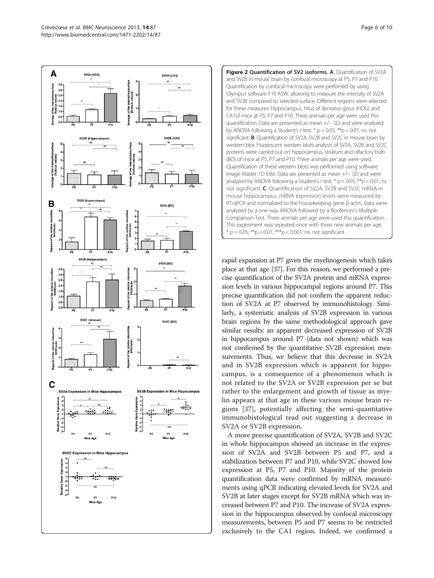<span id="page-5-0"></span>



rapid expansion at P7 given the myelinogenesis which takes place at that age [\[37\]](#page-9-0). For this reason, we performed a precise quantification of the SV2A protein and mRNA expression levels in various hippocampal regions around P7. This precise quantification did not confirm the apparent reduction of SV2A at P7 observed by immunohistology. Similarly, a systematic analysis of SV2B expression in various brain regions by the same methodological approach gave similar results: an apparent decreased expression of SV2B in hippocampus around P7 (data not shown) which was not confirmed by the quantitative SV2B expression measurements. Thus, we believe that this decrease in SV2A and in SV2B expression which is apparent for hippocampus, is a consequence of a phenomenon which is not related to the SV2A or SV2B expression per se but rather to the enlargement and growth of tissue as myelin appears at that age in these various mouse brain regions [[37\]](#page-9-0), potentially affecting the semi-quantitative immunohistological read out suggesting a decrease in SV2A or SV2B expression.

A more precise quantification of SV2A, SV2B and SV2C in whole hippocampus showed an increase in the expression of SV2A and SV2B between P5 and P7, and a stabilization between P7 and P10, while SV2C showed low expression at P5, P7 and P10. Majority of the protein quantification data were confirmed by mRNA measurements using qPCR indicating elevated levels for SV2A and SV2B at later stages except for SV2B mRNA which was increased between P7 and P10. The increase of SV2A expression in the hippocampus observed by confocal microscopy measurements, between P5 and P7 seems to be restricted exclusively to the CA1 region. Indeed, we confirmed a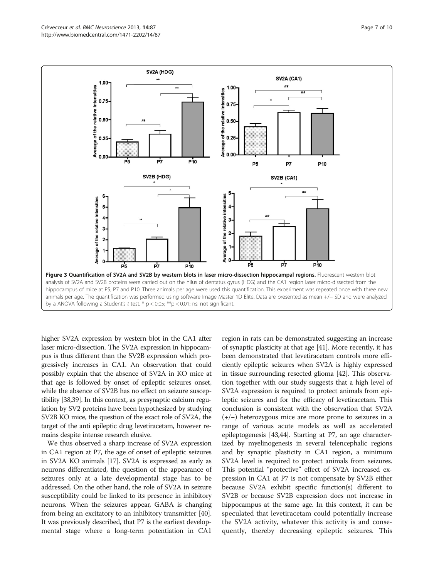<span id="page-6-0"></span>

higher SV2A expression by western blot in the CA1 after laser micro-dissection. The SV2A expression in hippocampus is thus different than the SV2B expression which progressively increases in CA1. An observation that could possibly explain that the absence of SV2A in KO mice at that age is followed by onset of epileptic seizures onset, while the absence of SV2B has no effect on seizure susceptibility [\[38,39](#page-9-0)]. In this context, as presynaptic calcium regulation by SV2 proteins have been hypothesized by studying SV2B KO mice, the question of the exact role of SV2A, the target of the anti epileptic drug levetiracetam, however remains despite intense research elusive.

We thus observed a sharp increase of SV2A expression in CA1 region at P7, the age of onset of epileptic seizures in SV2A KO animals [\[17\]](#page-9-0). SV2A is expressed as early as neurons differentiated, the question of the appearance of seizures only at a late developmental stage has to be addressed. On the other hand, the role of SV2A in seizure susceptibility could be linked to its presence in inhibitory neurons. When the seizures appear, GABA is changing from being an excitatory to an inhibitory transmitter [[40](#page-9-0)]. It was previously described, that P7 is the earliest developmental stage where a long-term potentiation in CA1

region in rats can be demonstrated suggesting an increase of synaptic plasticity at that age [\[41](#page-9-0)]. More recently, it has been demonstrated that levetiracetam controls more efficiently epileptic seizures when SV2A is highly expressed in tissue surrounding resected glioma [[42](#page-9-0)]. This observation together with our study suggests that a high level of SV2A expression is required to protect animals from epileptic seizures and for the efficacy of levetiracetam. This conclusion is consistent with the observation that SV2A (+/−) heterozygous mice are more prone to seizures in a range of various acute models as well as accelerated epileptogenesis [\[43,44\]](#page-9-0). Starting at P7, an age characterized by myelinogenesis in several telencephalic regions and by synaptic plasticity in CA1 region, a minimum SV2A level is required to protect animals from seizures. This potential "protective" effect of SV2A increased expression in CA1 at P7 is not compensate by SV2B either because SV2A exhibit specific function(s) different to SV2B or because SV2B expression does not increase in hippocampus at the same age. In this context, it can be speculated that levetiracetam could potentially increase the SV2A activity, whatever this activity is and consequently, thereby decreasing epileptic seizures. This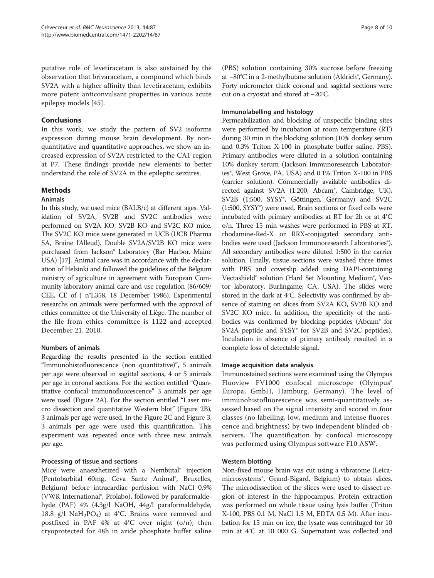putative role of levetiracetam is also sustained by the observation that brivaracetam, a compound which binds SV2A with a higher affinity than levetiracetam, exhibits more potent anticonvulsant properties in various acute epilepsy models [\[45](#page-9-0)].

# Conclusions

In this work, we study the pattern of SV2 isoforms expression during mouse brain development. By nonquantitative and quantitative approaches, we show an increased expression of SV2A restricted to the CA1 region at P7. These findings provide new elements to better understand the role of SV2A in the epileptic seizures.

#### Methods

#### Animals

In this study, we used mice (BALB/c) at different ages. Validation of SV2A, SV2B and SV2C antibodies were performed on SV2A KO, SV2B KO and SV2C KO mice. The SV2C KO mice were generated in UCB (UCB Pharma SA, Braine l'Alleud). Double SV2A/SV2B KO mice were purchased from Jackson® Laboratory (Bar Harbor, Maine USA) [\[17\]](#page-9-0). Animal care was in accordance with the declaration of Helsinki and followed the guidelines of the Belgium ministry of agriculture in agreement with European Community laboratory animal care and use regulation (86/609/ CEE, CE of J n°L358, 18 December 1986). Experimental researchs on animals were performed with the approval of ethics committee of the University of Liège. The number of the file from ethics committee is 1122 and accepted December 21, 2010.

# Numbers of animals

Regarding the results presented in the section entitled "[Immunohistofluorescence \(non quantitative\)](#page-1-0)", 5 animals per age were observed in sagittal sections, 4 or 5 animals per age in coronal sections. For the section entitled "[Quan](#page-1-0)[titative confocal immunofluorescence](#page-1-0)" 3 animals per age were used (Figure [2](#page-5-0)A). For the section entitled "[Laser mi](#page-4-0)[cro dissection and quantitative Western blot](#page-4-0)" (Figure [2B](#page-5-0)), 3 animals per age were used. In the Figure [2](#page-5-0)C and Figure [3](#page-6-0), 3 animals per age were used this quantification. This experiment was repeated once with three new animals per age.

#### Processing of tissue and sections

Mice were anaesthetized with a Nembutal® injection (Pentobarbital 60mg, Ceva Sante Animal®, Bruxelles, Belgium) before intracardiac perfusion with NaCl 0.9% (VWR International®, Prolabo), followed by paraformaldehyde (PAF) 4% (4.3g/l NaOH, 44g/l paraformaldehyde, 18.8 g/l  $NaH_2PO_4$ ) at 4°C. Brains were removed and postfixed in PAF 4% at 4°C over night (o/n), then cryoprotected for 48h in azide phosphate buffer saline (PBS) solution containing 30% sucrose before freezing at −80°C in a 2-methylbutane solution (Aldrich®, Germany). Forty micrometer thick coronal and sagittal sections were cut on a cryostat and stored at −20°C.

#### Immunolabelling and histology

Permeabilization and blocking of unspecific binding sites were performed by incubation at room temperature (RT) during 30 min in the blocking solution (10% donkey serum and 0.3% Triton X-100 in phosphate buffer saline, PBS). Primary antibodies were diluted in a solution containing 10% donkey serum (Jackson Immunoresearch Laboratories®, West Grove, PA, USA) and 0.1% Triton X-100 in PBS (carrier solution). Commercially available antibodies directed against SV2A (1:200, Abcam®, Cambridge, UK), SV2B (1:500, SYSY<sup>®</sup>, Göttingen, Germany) and SV2C (1:500, SYSY®) were used. Brain sections or fixed cells were incubated with primary antibodies at RT for 2h or at 4°C o/n. Three 15 min washes were performed in PBS at RT. rhodamine-Red-X or RRX-conjugated secondary antibodies were used (Jackson Immunoresearch Laboratories®). All secondary antibodies were diluted 1:500 in the carrier solution. Finally, tissue sections were washed three times with PBS and coverslip added using DAPI-containing Vectashield® solution (Hard Set Mounting Medium®, Vector laboratory, Burlingame, CA, USA). The slides were stored in the dark at 4°C. Selectivity was confirmed by absence of staining on slices from SV2A KO, SV2B KO and SV2C KO mice. In addition, the specificity of the antibodies was confirmed by blocking peptides (Abcam® for SV2A peptide and SYSY® for SV2B and SV2C peptides). Incubation in absence of primary antibody resulted in a complete loss of detectable signal.

#### Image acquisition data analysis

Immunostained sections were examined using the Olympus Fluoview FV1000 confocal microscope (Olympus<sup>®</sup> Europa, GmbH, Hamburg, Germany). The level of immunohistofluorescence was semi-quantitatively assessed based on the signal intensity and scored in four classes (no labelling, low, medium and intense fluorescence and brightness) by two independent blinded observers. The quantification by confocal microscopy was performed using Olympus software F10 ASW.

#### Western blotting

Non-fixed mouse brain was cut using a vibratome (Leicamicrosystems®, Grand-Bigard, Belgium) to obtain slices. The microdissection of the slices were used to dissect region of interest in the hippocampus. Protein extraction was performed on whole tissue using lysis buffer (Triton X-100, PBS 0.1 M, NaCl 1.5 M, EDTA 0.5 M). After incubation for 15 min on ice, the lysate was centrifuged for 10 min at 4°C at 10 000 G. Supernatant was collected and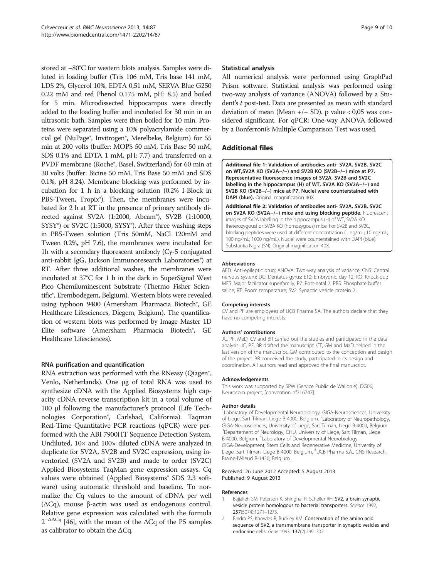<span id="page-8-0"></span>stored at −80°C for western blots analysis. Samples were diluted in loading buffer (Tris 106 mM, Tris base 141 mM, LDS 2%, Glycerol 10%, EDTA 0,51 mM, SERVA Blue G250 0.22 mM and red Phenol 0.175 mM, pH: 8.5) and boiled for 5 min. Microdissected hippocampus were directly added to the loading buffer and incubated for 30 min in an ultrasonic bath. Samples were then boiled for 10 min. Proteins were separated using a 10% polyacrylamide commercial gel (NuPage®, Invitrogen®, Merelbeke, Belgium) for 55 min at 200 volts (buffer: MOPS 50 mM, Tris Base 50 mM, SDS 0.1% and EDTA 1 mM, pH: 7.7) and transferred on a PVDF membrane (Roche®, Basel, Switzerland) for 60 min at 30 volts (buffer: Bicine 50 mM, Tris Base 50 mM and SDS 0.1%, pH 8.24). Membrane blocking was performed by incubation for 1 h in a blocking solution (0.2% I-Block in PBS-Tween, Tropix®). Then, the membranes were incubated for 2 h at RT in the presence of primary antibody directed against SV2A (1:2000, Abcam®), SV2B (1:10000, SYSY®) or SV2C (1:5000, SYSY®). After three washing steps in PBS-Tween solution (Tris 50mM, NaCl 120mM and Tween 0.2%, pH 7.6), the membranes were incubated for 1h with a secondary fluorescent antibody (Cy-5 conjugated anti-rabbit IgG, Jackson Immunoresearch Laboratories®) at RT. After three additional washes, the membranes were incubated at 37°C for 1 h in the dark in SuperSignal West Pico Chemiluminescent Substrate (Thermo Fisher Scientific®, Erembodegem, Belgium). Western blots were revealed using typhoon 9400 (Amersham Pharmacia Biotech®, GE Healthcare Lifesciences, Diegem, Belgium). The quantification of western blots was performed by Image Master 1D Elite software (Amersham Pharmacia Biotech<sup>®</sup>, GE Healthcare Lifesciences).

#### RNA purification and quantification

RNA extraction was performed with the RNeasy (Qiagen®, Venlo, Netherlands). One μg of total RNA was used to synthesize cDNA with the Applied Biosystems high capacity cDNA reverse transcription kit in a total volume of 100 μl following the manufacturer's protocol (Life Technologies Corporation®, Carlsbad, California). Taqman Real-Time Quantitative PCR reactions (qPCR) were performed with the ABI 7900HT Sequence Detection System. Undiluted, 10× and 100× diluted cDNA were analyzed in duplicate for SV2A, SV2B and SV2C expression, using inventoried (SV2A and SV2B) and made to order (SV2C) Applied Biosystems TaqMan gene expression assays. Cq values were obtained (Applied Biosystems<sup>®</sup> SDS 2.3 software) using automatic threshold and baseline. To normalize the Cq values to the amount of cDNA per well (ΔCq), mouse β-actin was used as endogenous control. Relative gene expression was calculated with the formula  $2^{-\Delta\Delta Cq}$  [\[46](#page-9-0)], with the mean of the  $\Delta Cq$  of the P5 samples as calibrator to obtain the ΔCq.

#### Statistical analysis

All numerical analysis were performed using GraphPad Prism software. Statistical analysis was performed using two-way analysis of variance (ANOVA) followed by a Student's t post-test. Data are presented as mean with standard deviation of mean (Mean +/− SD). p value < 0,05 was considered significant. For qPCR: One-way ANOVA followed by a Bonferroni's Multiple Comparison Test was used.

# Additional files

[Additional file 1:](http://www.biomedcentral.com/content/supplementary/1471-2202-14-87-S1.tiff) Validation of antibodies anti- SV2A, SV2B, SV2C on WT,SV2A KO (SV2A−/−) and SV2B KO (SV2B−/−) mice at P7. Representative fluorescence images of SV2A, SV2B and SV2C labelling in the hippocampus (H) of WT, SV2A KO (SV2A−/−) and SV2B KO (SV2B−/−) mice at P7. Nuclei were counterstained with DAPI (blue). Original magnification 40X.

[Additional file 2:](http://www.biomedcentral.com/content/supplementary/1471-2202-14-87-S2.tiff) Validation of antibodies anti- SV2A, SV2B, SV2C on SV2A KO (SV2A-/-) mice and using blocking peptide. Fluorescent images of SV2A labelling in the hippocampus (H) of WT, SV2A KO (heterozygous) or SV2A KO (homozygous) mice. For SV2B and SV2C, blocking peptides were used at different concentration (1 ng/mL; 10 ng/mL; 100 ng/mL; 1000 ng/mL). Nuclei were counterstained with DAPI (blue). Substantia Nigra (SN). Original magnification 40X.

#### Abbreviations

AED: Anti-epileptic drug; ANOVA: Two-way analysis of variance; CNS: Central nervous system; DG: Dentatus gyrus; E12: Embryonic day 12; KO: Knock-out; MFS: Major facilitator superfamily; P7: Post-natal 7; PBS: Phosphate buffer saline; RT: Room temperature; SV2: Synaptic vesicle protein 2.

#### Competing interests

CV and PF are employees of UCB Pharma SA. The authors declare that they have no competing interests.

#### Authors' contributions

JC, PF, MeD, CV and BR carried out the studies and participated in the data analysis. JC, PF, BR drafted the manuscript. CT, GM and MaD helped in the last version of the manuscript. GM contributed to the conception and design of the project. BR conceived the study, participated in its design and coordination. All authors read and approved the final manuscript.

#### Acknowledgements

This work was supported by SPW (Service Public de Wallonie), DG06, Neurocom project, [convention n°716747].

#### Author details

<sup>1</sup> Laboratory of Developmental Neurobiology, GIGA-Neurosciences, University of Liege, Sart Tilman, Liege B-4000, Belgium. <sup>2</sup> Laboratory of Neuropathology GIGA-Neurosciences, University of Liege, Sart Tilman, Liege B-4000, Belgium. <sup>3</sup>Departement of Neurology, CHU, University of Liege, Sart Tilman, Liege B-4000, Belgium. <sup>4</sup>Laboratory of Developmental Neurobiology, GIGA-Development, Stem Cells and Regenerative Medicine, University of Liege, Sart Tilman, Liege B-4000, Belgium. <sup>5</sup>UCB Pharma S.A., CNS Research Braine-l'Alleud B-1420, Belgium.

#### Received: 26 June 2012 Accepted: 5 August 2013 Published: 9 August 2013

#### References

- 1. Bajjalieh SM, Peterson K, Shinghal R, Scheller RH: SV2, a brain synaptic vesicle protein homologous to bacterial transporters. Science 1992, 257(5074):1271–1273.
- 2. Bindra PS, Knowles R, Buckley KM: Conservation of the amino acid sequence of SV2, a transmembrane transporter in synaptic vesicles and endocrine cells. Gene 1993, 137(2):299–302.